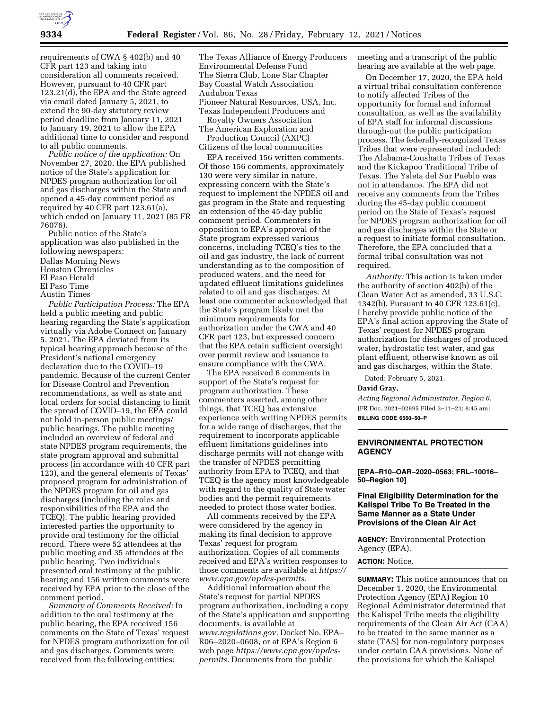

requirements of CWA § 402(b) and 40 CFR part 123 and taking into consideration all comments received. However, pursuant to 40 CFR part 123.21(d), the EPA and the State agreed via email dated January 5, 2021, to extend the 90-day statutory review period deadline from January 11, 2021 to January 19, 2021 to allow the EPA additional time to consider and respond to all public comments.

*Public notice of the application:* On November 27, 2020, the EPA published notice of the State's application for NPDES program authorization for oil and gas discharges within the State and opened a 45-day comment period as required by 40 CFR part 123.61(a), which ended on January 11, 2021 (85 FR 76076).

Public notice of the State's application was also published in the following newspapers:

- Dallas Morning News
- Houston Chronicles
- El Paso Herald
- El Paso Time
- Austin Times

*Public Participation Process:* The EPA held a public meeting and public hearing regarding the State's application virtually via Adobe Connect on January 5, 2021. The EPA deviated from its typical hearing approach because of the President's national emergency declaration due to the COVID–19 pandemic. Because of the current Center for Disease Control and Prevention recommendations, as well as state and local orders for social distancing to limit the spread of COVID–19, the EPA could not hold in-person public meetings/ public hearings. The public meeting included an overview of federal and state NPDES program requirements, the state program approval and submittal process (in accordance with 40 CFR part 123), and the general elements of Texas' proposed program for administration of the NPDES program for oil and gas discharges (including the roles and responsibilities of the EPA and the TCEQ). The public hearing provided interested parties the opportunity to provide oral testimony for the official record. There were 52 attendees at the public meeting and 35 attendees at the public hearing. Two individuals presented oral testimony at the public hearing and 156 written comments were received by EPA prior to the close of the comment period.

*Summary of Comments Received:* In addition to the oral testimony at the public hearing, the EPA received 156 comments on the State of Texas' request for NPDES program authorization for oil and gas discharges. Comments were received from the following entities:

The Texas Alliance of Energy Producers Environmental Defense Fund The Sierra Club, Lone Star Chapter Bay Coastal Watch Association Audubon Texas Pioneer Natural Resources, USA, Inc. Texas Independent Producers and Royalty Owners Association The American Exploration and Production Council (AXPC) Citizens of the local communities

EPA received 156 written comments. Of those 156 comments, approximately 130 were very similar in nature, expressing concern with the State's request to implement the NPDES oil and gas program in the State and requesting an extension of the 45-day public comment period. Commenters in opposition to EPA's approval of the State program expressed various concerns, including TCEQ's ties to the oil and gas industry, the lack of current understanding as to the composition of produced waters, and the need for updated effluent limitations guidelines related to oil and gas discharges. At least one commenter acknowledged that the State's program likely met the minimum requirements for authorization under the CWA and 40 CFR part 123, but expressed concern that the EPA retain sufficient oversight over permit review and issuance to ensure compliance with the CWA.

The EPA received 6 comments in support of the State's request for program authorization. These commenters asserted, among other things, that TCEQ has extensive experience with writing NPDES permits for a wide range of discharges, that the requirement to incorporate applicable effluent limitations guidelines into discharge permits will not change with the transfer of NPDES permitting authority from EPA to TCEQ, and that TCEQ is the agency most knowledgeable with regard to the quality of State water bodies and the permit requirements needed to protect those water bodies.

All comments received by the EPA were considered by the agency in making its final decision to approve Texas' request for program authorization. Copies of all comments received and EPA's written responses to those comments are available at *[https://](https://www.epa.gov/npdes-permits) [www.epa.gov/npdes-permits.](https://www.epa.gov/npdes-permits)* 

Additional information about the State's request for partial NPDES program authorization, including a copy of the State's application and supporting documents, is available at *[www.regulations.gov,](http://www.regulations.gov)* Docket No. EPA– R06–2020–0608, or at EPA's Region 6 web page *[https://www.epa.gov/npdes](https://www.epa.gov/npdes-permits)[permits.](https://www.epa.gov/npdes-permits)* Documents from the public

meeting and a transcript of the public hearing are available at the web page.

On December 17, 2020, the EPA held a virtual tribal consultation conference to notify affected Tribes of the opportunity for formal and informal consultation, as well as the availability of EPA staff for informal discussions through-out the public participation process. The federally-recognized Texas Tribes that were represented included: The Alabama-Coushatta Tribes of Texas and the Kickapoo Traditional Tribe of Texas. The Ysleta del Sur Pueblo was not in attendance. The EPA did not receive any comments from the Tribes during the 45-day public comment period on the State of Texas's request for NPDES program authorization for oil and gas discharges within the State or a request to initiate formal consultation. Therefore, the EPA concluded that a formal tribal consultation was not required.

*Authority:* This action is taken under the authority of section 402(b) of the Clean Water Act as amended, 33 U.S.C. 1342(b). Pursuant to 40 CFR 123.61(c), I hereby provide public notice of the EPA's final action approving the State of Texas' request for NPDES program authorization for discharges of produced water, hydrostatic test water, and gas plant effluent, otherwise known as oil and gas discharges, within the State.

Dated: February 5, 2021.

# **David Gray,**

*Acting Regional Administrator, Region 6.*  [FR Doc. 2021–02895 Filed 2–11–21; 8:45 am] **BILLING CODE 6560–50–P** 

# **ENVIRONMENTAL PROTECTION AGENCY**

**[EPA–R10–OAR–2020–0563; FRL–10016– 50–Region 10]** 

# **Final Eligibility Determination for the Kalispel Tribe To Be Treated in the Same Manner as a State Under Provisions of the Clean Air Act**

**AGENCY:** Environmental Protection Agency (EPA).

## **ACTION:** Notice.

**SUMMARY:** This notice announces that on December 1, 2020, the Environmental Protection Agency (EPA) Region 10 Regional Administrator determined that the Kalispel Tribe meets the eligibility requirements of the Clean Air Act (CAA) to be treated in the same manner as a state (TAS) for non-regulatory purposes under certain CAA provisions. None of the provisions for which the Kalispel